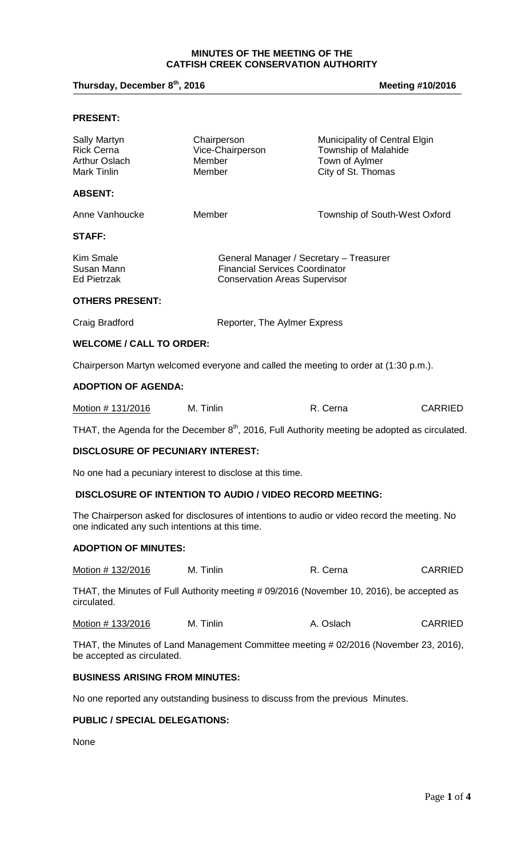#### **MINUTES OF THE MEETING OF THE CATFISH CREEK CONSERVATION AUTHORITY**

## **Thursday, December 8th**

### **, 2016 Meeting #10/2016**

#### **PRESENT:**

| Sally Martyn<br><b>Rick Cerna</b><br>Arthur Oslach<br>Mark Tinlin | Chairperson<br>Vice-Chairperson<br>Member<br>Member                                                                      | Municipality of Central Elgin<br>Township of Malahide<br>Town of Aylmer<br>City of St. Thomas |
|-------------------------------------------------------------------|--------------------------------------------------------------------------------------------------------------------------|-----------------------------------------------------------------------------------------------|
| <b>ABSENT:</b>                                                    |                                                                                                                          |                                                                                               |
| Anne Vanhoucke                                                    | Member                                                                                                                   | Township of South-West Oxford                                                                 |
| STAFF:                                                            |                                                                                                                          |                                                                                               |
| Kim Smale<br>Susan Mann<br>Ed Pietrzak                            | General Manager / Secretary - Treasurer<br><b>Financial Services Coordinator</b><br><b>Conservation Areas Supervisor</b> |                                                                                               |
| <b>OTHERS PRESENT:</b>                                            |                                                                                                                          |                                                                                               |
| Craig Bradford                                                    | Reporter, The Aylmer Express                                                                                             |                                                                                               |
| <b>WELCOME / CALL TO ORDER:</b>                                   |                                                                                                                          |                                                                                               |
|                                                                   |                                                                                                                          |                                                                                               |

Chairperson Martyn welcomed everyone and called the meeting to order at (1:30 p.m.).

## **ADOPTION OF AGENDA:**

| Motion # 131/2016 | M. Tinlin | R. Cerna | <b>CARRIED</b> |
|-------------------|-----------|----------|----------------|
|-------------------|-----------|----------|----------------|

THAT, the Agenda for the December 8<sup>th</sup>, 2016, Full Authority meeting be adopted as circulated.

### **DISCLOSURE OF PECUNIARY INTEREST:**

No one had a pecuniary interest to disclose at this time.

#### **DISCLOSURE OF INTENTION TO AUDIO / VIDEO RECORD MEETING:**

The Chairperson asked for disclosures of intentions to audio or video record the meeting. No one indicated any such intentions at this time.

#### **ADOPTION OF MINUTES:**

| Motion # 132/2016 | M. Tinlin | R. Cerna | <b>CARRIED</b> |
|-------------------|-----------|----------|----------------|
|-------------------|-----------|----------|----------------|

THAT, the Minutes of Full Authority meeting # 09/2016 (November 10, 2016), be accepted as circulated.

Motion # 133/2016 M. Tinlin A. Oslach CARRIED

THAT, the Minutes of Land Management Committee meeting # 02/2016 (November 23, 2016), be accepted as circulated.

#### **BUSINESS ARISING FROM MINUTES:**

No one reported any outstanding business to discuss from the previous Minutes.

## **PUBLIC / SPECIAL DELEGATIONS:**

None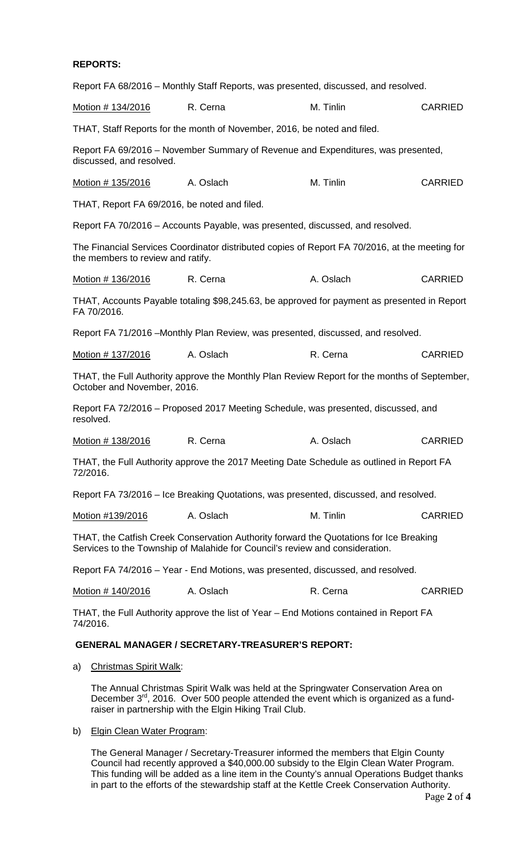## **REPORTS:**

|                                              | Report FA 68/2016 – Monthly Staff Reports, was presented, discussed, and resolved.                                                                                     |           |                |
|----------------------------------------------|------------------------------------------------------------------------------------------------------------------------------------------------------------------------|-----------|----------------|
| Motion # 134/2016                            | R. Cerna                                                                                                                                                               | M. Tinlin | <b>CARRIED</b> |
|                                              | THAT, Staff Reports for the month of November, 2016, be noted and filed.                                                                                               |           |                |
| discussed, and resolved.                     | Report FA 69/2016 – November Summary of Revenue and Expenditures, was presented,                                                                                       |           |                |
| Motion # 135/2016                            | A. Oslach                                                                                                                                                              | M. Tinlin | <b>CARRIED</b> |
| THAT, Report FA 69/2016, be noted and filed. |                                                                                                                                                                        |           |                |
|                                              | Report FA 70/2016 - Accounts Payable, was presented, discussed, and resolved.                                                                                          |           |                |
| the members to review and ratify.            | The Financial Services Coordinator distributed copies of Report FA 70/2016, at the meeting for                                                                         |           |                |
| Motion # 136/2016                            | R. Cerna                                                                                                                                                               | A. Oslach | <b>CARRIED</b> |
| FA 70/2016.                                  | THAT, Accounts Payable totaling \$98,245.63, be approved for payment as presented in Report                                                                            |           |                |
|                                              | Report FA 71/2016 - Monthly Plan Review, was presented, discussed, and resolved.                                                                                       |           |                |
| Motion # 137/2016                            | A. Oslach                                                                                                                                                              | R. Cerna  | <b>CARRIED</b> |
| October and November, 2016.                  | THAT, the Full Authority approve the Monthly Plan Review Report for the months of September,                                                                           |           |                |
| resolved.                                    | Report FA 72/2016 – Proposed 2017 Meeting Schedule, was presented, discussed, and                                                                                      |           |                |
| Motion # 138/2016                            | R. Cerna                                                                                                                                                               | A. Oslach | <b>CARRIED</b> |
| 72/2016.                                     | THAT, the Full Authority approve the 2017 Meeting Date Schedule as outlined in Report FA                                                                               |           |                |
|                                              | Report FA 73/2016 – Ice Breaking Quotations, was presented, discussed, and resolved.                                                                                   |           |                |
| Motion #139/2016                             | A. Oslach                                                                                                                                                              | M. Tinlin | <b>CARRIED</b> |
|                                              | THAT, the Catfish Creek Conservation Authority forward the Quotations for Ice Breaking<br>Services to the Township of Malahide for Council's review and consideration. |           |                |
|                                              | Report FA 74/2016 - Year - End Motions, was presented, discussed, and resolved.                                                                                        |           |                |
| Motion # 140/2016                            | A. Oslach                                                                                                                                                              | R. Cerna  | <b>CARRIED</b> |
| 74/2016.                                     | THAT, the Full Authority approve the list of Year – End Motions contained in Report FA                                                                                 |           |                |
|                                              | <b>GENERAL MANAGER / SECRETARY-TREASURER'S REPORT:</b>                                                                                                                 |           |                |

a) Christmas Spirit Walk:

The Annual Christmas Spirit Walk was held at the Springwater Conservation Area on December 3<sup>rd</sup>, 2016. Over 500 people attended the event which is organized as a fundraiser in partnership with the Elgin Hiking Trail Club.

b) Elgin Clean Water Program:

The General Manager / Secretary-Treasurer informed the members that Elgin County Council had recently approved a \$40,000.00 subsidy to the Elgin Clean Water Program. This funding will be added as a line item in the County's annual Operations Budget thanks in part to the efforts of the stewardship staff at the Kettle Creek Conservation Authority.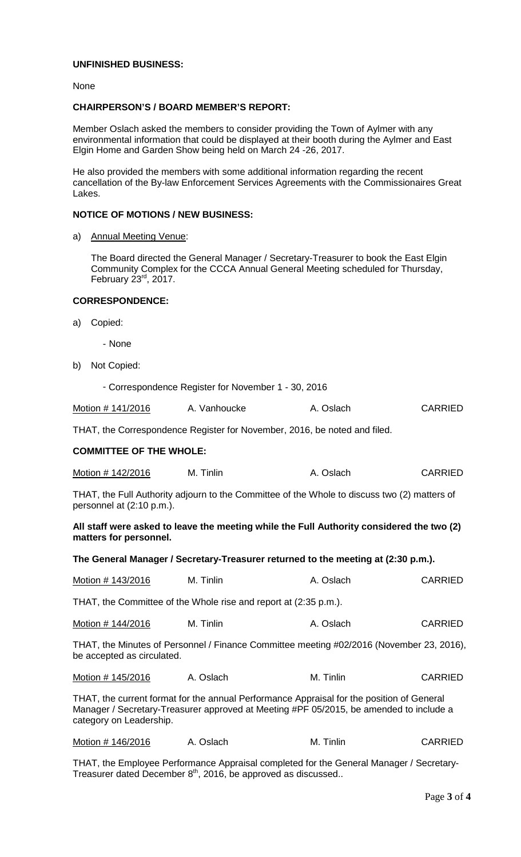## **UNFINISHED BUSINESS:**

None

### **CHAIRPERSON'S / BOARD MEMBER'S REPORT:**

Member Oslach asked the members to consider providing the Town of Aylmer with any environmental information that could be displayed at their booth during the Aylmer and East Elgin Home and Garden Show being held on March 24 -26, 2017.

He also provided the members with some additional information regarding the recent cancellation of the By-law Enforcement Services Agreements with the Commissionaires Great Lakes.

### **NOTICE OF MOTIONS / NEW BUSINESS:**

a) Annual Meeting Venue:

The Board directed the General Manager / Secretary-Treasurer to book the East Elgin Community Complex for the CCCA Annual General Meeting scheduled for Thursday, February 23<sup>rd</sup>, 2017.

- Correspondence Register for November 1 - 30, 2016

## **CORRESPONDENCE:**

- a) Copied:
	- None
- b) Not Copied:

| <u> Motion # 141/2016</u>                                                                                                 | A. Vanhoucke                                                              | A. Oslach | <b>CARRIED</b> |
|---------------------------------------------------------------------------------------------------------------------------|---------------------------------------------------------------------------|-----------|----------------|
|                                                                                                                           | THAT, the Correspondence Register for November, 2016, be noted and filed. |           |                |
| <b>COMMITTEE OF THE WHOLE:</b>                                                                                            |                                                                           |           |                |
| Motion # 142/2016                                                                                                         | M. Tinlin                                                                 | A. Oslach | <b>CARRIED</b> |
| THAT, the Full Authority adjourn to the Committee of the Whole to discuss two (2) matters of<br>personnel at (2:10 p.m.). |                                                                           |           |                |
| All staff were asked to leave the meeting while the Full Authority considered the two (2)<br>matters for personnel.       |                                                                           |           |                |
| The General Manager / Secretary-Treasurer returned to the meeting at (2:30 p.m.).                                         |                                                                           |           |                |
| Motion # 143/2016                                                                                                         | M. Tinlin                                                                 | A. Oslach | <b>CARRIED</b> |
| THAT, the Committee of the Whole rise and report at (2:35 p.m.).                                                          |                                                                           |           |                |
|                                                                                                                           | M. Tinlin                                                                 | A. Oslach | <b>CARRIED</b> |
| THAT, the Minutes of Personnel / Finance Committee meeting #02/2016 (November 23, 2016),<br>be accepted as circulated.    |                                                                           |           |                |
| Motion # 145/2016                                                                                                         | A. Oslach                                                                 | M. Tinlin | <b>CARRIED</b> |

THAT, the current format for the annual Performance Appraisal for the position of General Manager / Secretary-Treasurer approved at Meeting #PF 05/2015, be amended to include a category on Leadership.

| Motion # 146/2016 | A. Oslach | M.<br><u>Linlin</u> | CARRIED |
|-------------------|-----------|---------------------|---------|
|                   |           |                     |         |

THAT, the Employee Performance Appraisal completed for the General Manager / Secretary-Treasurer dated December  $8<sup>th</sup>$ , 2016, be approved as discussed..